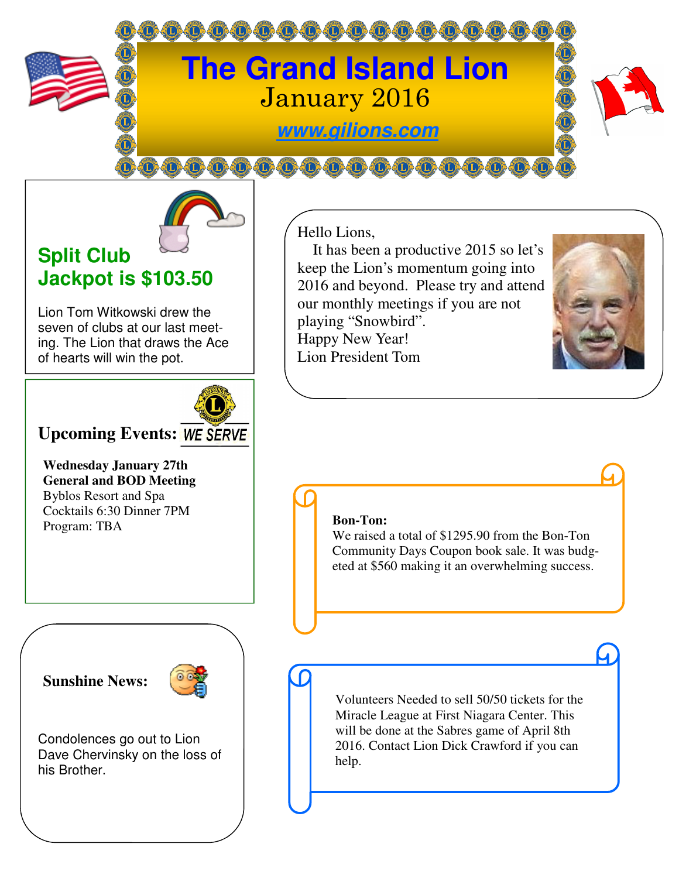

**@@@@@@@@@@@@** 



## **Split Club Jackpot is \$103.50**

Lion Tom Witkowski drew the seven of clubs at our last meeting. The Lion that draws the Ace of hearts will win the pot.



## **Upcoming Events: WE SERVE**

**Wednesday January 27th General and BOD Meeting**  Byblos Resort and Spa Cocktails 6:30 Dinner 7PM Program: TBA

### **Sunshine News:**



Condolences go out to Lion Dave Chervinsky on the loss of his Brother.

Hello Lions,

 It has been a productive 2015 so let's keep the Lion's momentum going into 2016 and beyond. Please try and attend our monthly meetings if you are not playing "Snowbird". Happy New Year! Lion President Tom

#### **Bon-Ton:**

We raised a total of \$1295.90 from the Bon-Ton Community Days Coupon book sale. It was budgeted at \$560 making it an overwhelming success.

Volunteers Needed to sell 50/50 tickets for the Miracle League at First Niagara Center. This will be done at the Sabres game of April 8th 2016. Contact Lion Dick Crawford if you can help.

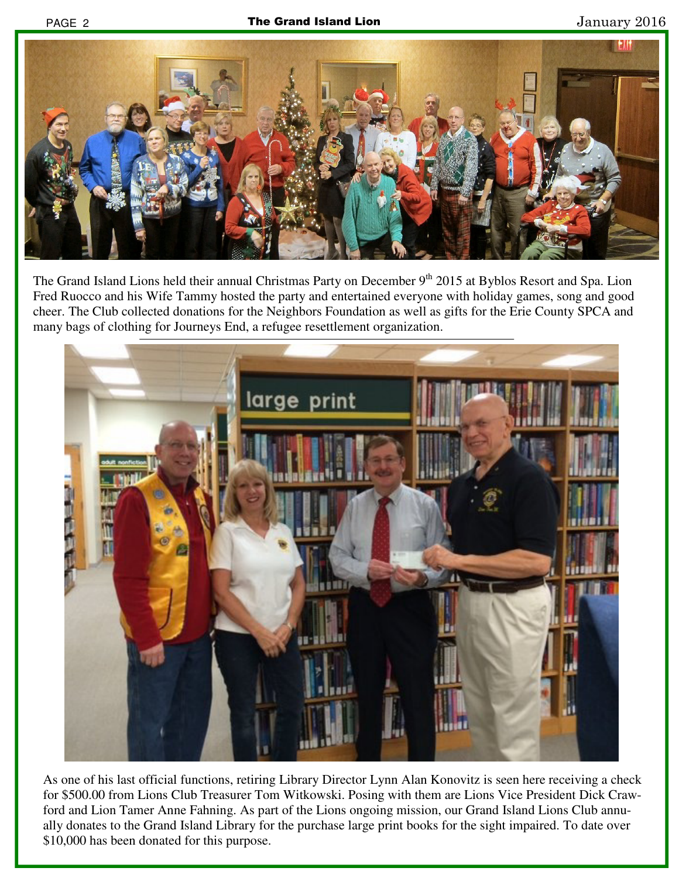

The Grand Island Lions held their annual Christmas Party on December 9<sup>th</sup> 2015 at Byblos Resort and Spa. Lion Fred Ruocco and his Wife Tammy hosted the party and entertained everyone with holiday games, song and good cheer. The Club collected donations for the Neighbors Foundation as well as gifts for the Erie County SPCA and many bags of clothing for Journeys End, a refugee resettlement organization.



As one of his last official functions, retiring Library Director Lynn Alan Konovitz is seen here receiving a check for \$500.00 from Lions Club Treasurer Tom Witkowski. Posing with them are Lions Vice President Dick Crawford and Lion Tamer Anne Fahning. As part of the Lions ongoing mission, our Grand Island Lions Club annually donates to the Grand Island Library for the purchase large print books for the sight impaired. To date over \$10,000 has been donated for this purpose.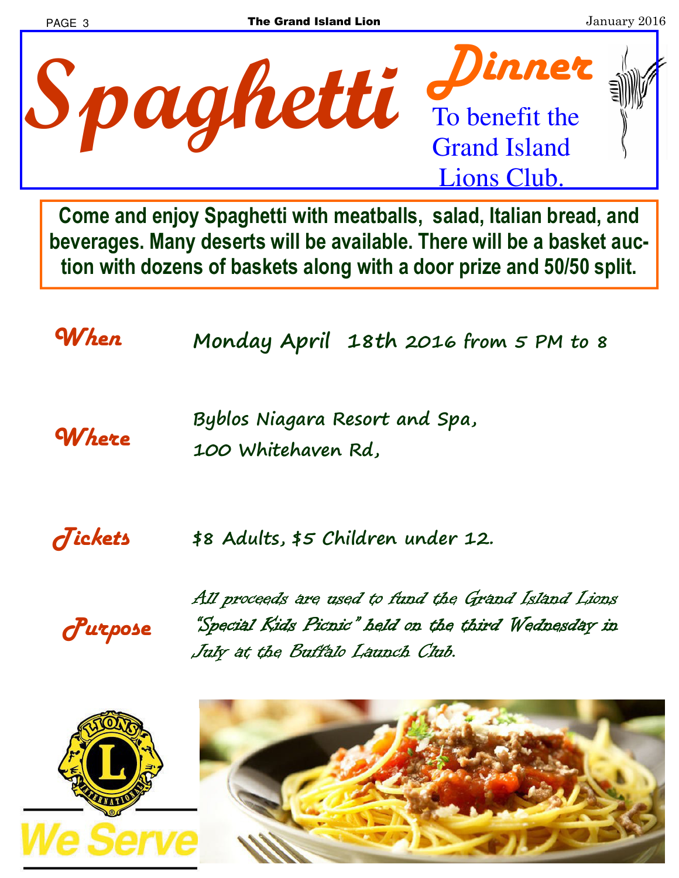

**Come and enjoy Spaghetti with meatballs, salad, Italian bread, and beverages. Many deserts will be available. There will be a basket auction with dozens of baskets along with a door prize and 50/50 split.** 

*When* **Monday April 18th 2016 from 5 PM to 8** 

*Where* **Byblos Niagara Resort and Spa, 100 Whitehaven Rd,** 

*Tickets* **\$8 Adults, \$5 Children under 12.** 

*Purpose* 

All proceeds are used to fund the Grand Island Lions "Special Kids Picnic" held on the third Wednesday in July at the Buffalo Launch Club.